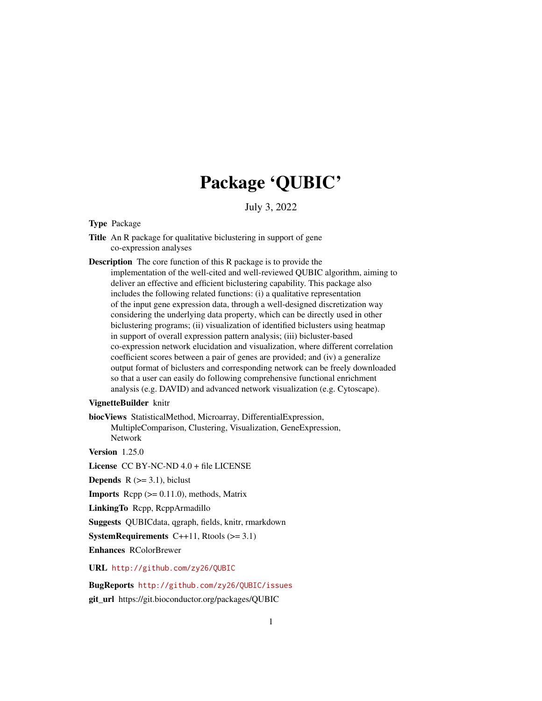## Package 'QUBIC'

July 3, 2022

#### <span id="page-0-0"></span>Type Package

- Title An R package for qualitative biclustering in support of gene co-expression analyses
- Description The core function of this R package is to provide the implementation of the well-cited and well-reviewed QUBIC algorithm, aiming to deliver an effective and efficient biclustering capability. This package also includes the following related functions: (i) a qualitative representation of the input gene expression data, through a well-designed discretization way considering the underlying data property, which can be directly used in other biclustering programs; (ii) visualization of identified biclusters using heatmap in support of overall expression pattern analysis; (iii) bicluster-based co-expression network elucidation and visualization, where different correlation coefficient scores between a pair of genes are provided; and (iv) a generalize output format of biclusters and corresponding network can be freely downloaded so that a user can easily do following comprehensive functional enrichment analysis (e.g. DAVID) and advanced network visualization (e.g. Cytoscape).

#### VignetteBuilder knitr

biocViews StatisticalMethod, Microarray, DifferentialExpression, MultipleComparison, Clustering, Visualization, GeneExpression, Network

Version 1.25.0

License CC BY-NC-ND 4.0 + file LICENSE

**Depends**  $R$  ( $>=$  3.1), biclust

**Imports** Rcpp  $(>= 0.11.0)$ , methods, Matrix

LinkingTo Rcpp, RcppArmadillo

Suggests QUBICdata, qgraph, fields, knitr, rmarkdown

**SystemRequirements**  $C++11$ , Rtools  $(>= 3.1)$ 

Enhances RColorBrewer

URL <http://github.com/zy26/QUBIC>

#### BugReports <http://github.com/zy26/QUBIC/issues>

git\_url https://git.bioconductor.org/packages/QUBIC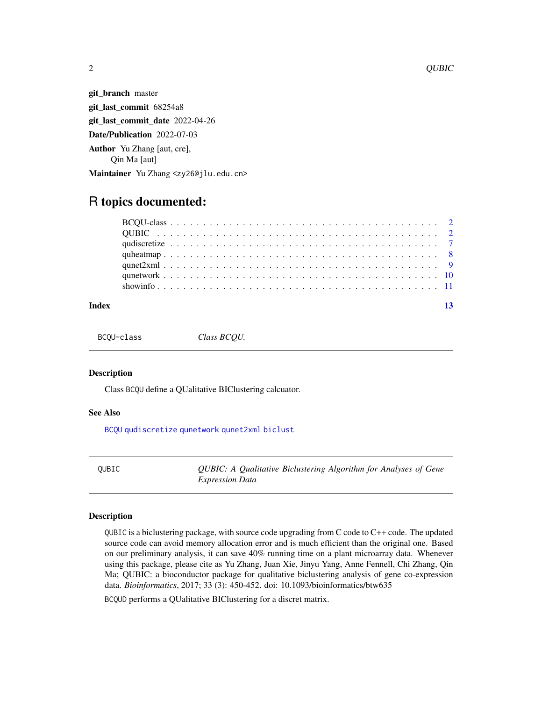git\_branch master git\_last\_commit 68254a8 git\_last\_commit\_date 2022-04-26 Date/Publication 2022-07-03 Author Yu Zhang [aut, cre], Qin Ma [aut] Maintainer Yu Zhang <zy26@jlu.edu.cn>

### R topics documented:

#### **Index** [13](#page-12-0)

<span id="page-1-2"></span>BCQU-class *Class BCQU.*

#### Description

Class BCQU define a QUalitative BIClustering calcuator.

#### See Also

[BCQU](#page-1-1) [qudiscretize](#page-6-1) [qunetwork](#page-9-1) [qunet2xml](#page-8-1) [biclust](#page-0-0)

<span id="page-1-3"></span>QUBIC *QUBIC: A Qualitative Biclustering Algorithm for Analyses of Gene Expression Data*

#### <span id="page-1-1"></span>Description

QUBIC is a biclustering package, with source code upgrading from C code to C++ code. The updated source code can avoid memory allocation error and is much efficient than the original one. Based on our preliminary analysis, it can save 40% running time on a plant microarray data. Whenever using this package, please cite as Yu Zhang, Juan Xie, Jinyu Yang, Anne Fennell, Chi Zhang, Qin Ma; QUBIC: a bioconductor package for qualitative biclustering analysis of gene co-expression data. *Bioinformatics*, 2017; 33 (3): 450-452. doi: 10.1093/bioinformatics/btw635

BCQUD performs a QUalitative BIClustering for a discret matrix.

<span id="page-1-0"></span>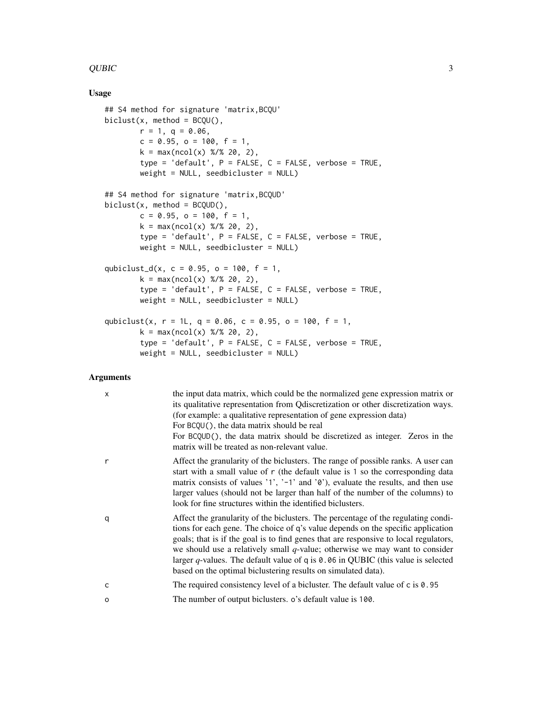#### $QUBIC$  3

#### Usage

```
## S4 method for signature 'matrix,BCQU'
biclust(x, method = BCQU(),
       r = 1, q = 0.06,c = 0.95, o = 100, f = 1,
       k = max(ncol(x) % 20, 2),
       type = 'default', P = FALSE, C = FALSE, verbose = TRUE,
       weight = NULL, seedbicluster = NULL)
## S4 method for signature 'matrix,BCQUD'
biclust(x, method = BCQUD(),c = 0.95, o = 100, f = 1,
       k = max(ncol(x) % 20, 2),type = 'default', P = FALSE, C = FALSE, verbose = TRUE,
       weight = NULL, seedbicluster = NULL)
qubiclust_d(x, c = 0.95, o = 100, f = 1,
       k = max(ncol(x) % 20, 2),type = 'default', P = FALSE, C = FALSE, verbose = TRUE,
       weight = NULL, seedbicluster = NULL)
qubiclust(x, r = 1L, q = 0.06, c = 0.95, o = 100, f = 1,
       k = max(ncol(x) % 20, 2),type = 'default', P = FALSE, C = FALSE, verbose = TRUE,
       weight = NULL, seedbicluster = NULL)
```
#### Arguments

| X | the input data matrix, which could be the normalized gene expression matrix or<br>its qualitative representation from Q discretization or other discretization ways.<br>(for example: a qualitative representation of gene expression data)<br>For BCQU(), the data matrix should be real<br>For BCQUD(), the data matrix should be discretized as integer. Zeros in the<br>matrix will be treated as non-relevant value.                                                                                        |
|---|------------------------------------------------------------------------------------------------------------------------------------------------------------------------------------------------------------------------------------------------------------------------------------------------------------------------------------------------------------------------------------------------------------------------------------------------------------------------------------------------------------------|
| r | Affect the granularity of the biclusters. The range of possible ranks. A user can<br>start with a small value of r (the default value is 1 so the corresponding data<br>matrix consists of values '1', '-1' and ' $\theta$ '), evaluate the results, and then use<br>larger values (should not be larger than half of the number of the columns) to<br>look for fine structures within the identified biclusters.                                                                                                |
| q | Affect the granularity of the biclusters. The percentage of the regulating condi-<br>tions for each gene. The choice of q's value depends on the specific application<br>goals; that is if the goal is to find genes that are responsive to local regulators,<br>we should use a relatively small $q$ -value; otherwise we may want to consider<br>larger $q$ -values. The default value of q is $\theta$ . 06 in QUBIC (this value is selected<br>based on the optimal biclustering results on simulated data). |
| C | The required consistency level of a bicluster. The default value of $c$ is $0.95$                                                                                                                                                                                                                                                                                                                                                                                                                                |
| O | The number of output biclusters. o's default value is 100.                                                                                                                                                                                                                                                                                                                                                                                                                                                       |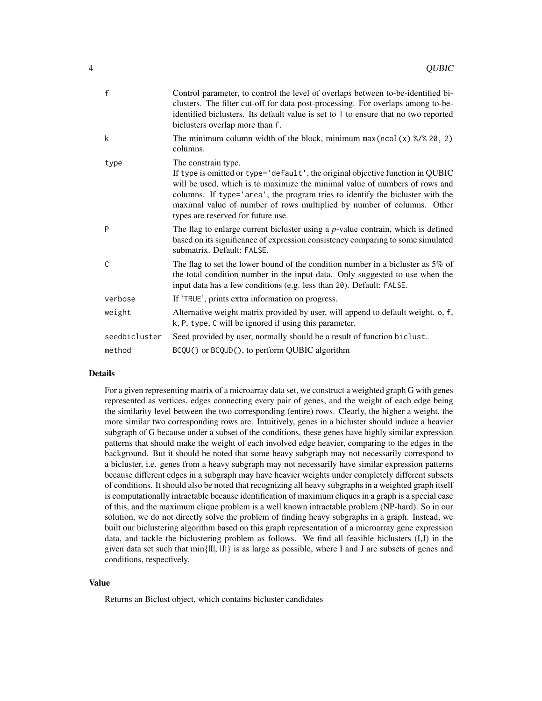| f             | Control parameter, to control the level of overlaps between to-be-identified bi-<br>clusters. The filter cut-off for data post-processing. For overlaps among to-be-<br>identified biclusters. Its default value is set to 1 to ensure that no two reported<br>biclusters overlap more than f.                                                                                        |
|---------------|---------------------------------------------------------------------------------------------------------------------------------------------------------------------------------------------------------------------------------------------------------------------------------------------------------------------------------------------------------------------------------------|
| k             | The minimum column width of the block, minimum $max(ncol(x) % 20, 2)$<br>columns.                                                                                                                                                                                                                                                                                                     |
| type          | The constrain type.<br>If type is omitted or type='default', the original objective function in QUBIC<br>will be used, which is to maximize the minimal value of numbers of rows and<br>columns. If type='area', the program tries to identify the bicluster with the<br>maximal value of number of rows multiplied by number of columns. Other<br>types are reserved for future use. |
| P             | The flag to enlarge current bicluster using a $p$ -value contrain, which is defined<br>based on its significance of expression consistency comparing to some simulated<br>submatrix. Default: FALSE.                                                                                                                                                                                  |
| C             | The flag to set the lower bound of the condition number in a bicluster as $5\%$ of<br>the total condition number in the input data. Only suggested to use when the<br>input data has a few conditions (e.g. less than 20). Default: FALSE.                                                                                                                                            |
| verbose       | If 'TRUE', prints extra information on progress.                                                                                                                                                                                                                                                                                                                                      |
| weight        | Alternative weight matrix provided by user, will append to default weight. o, f,<br>k, P, type, C will be ignored if using this parameter.                                                                                                                                                                                                                                            |
| seedbicluster | Seed provided by user, normally should be a result of function biclust.                                                                                                                                                                                                                                                                                                               |
| method        | BCQU() or BCQUD(), to perform QUBIC algorithm                                                                                                                                                                                                                                                                                                                                         |

#### Details

For a given representing matrix of a microarray data set, we construct a weighted graph G with genes represented as vertices, edges connecting every pair of genes, and the weight of each edge being the similarity level between the two corresponding (entire) rows. Clearly, the higher a weight, the more similar two corresponding rows are. Intuitively, genes in a bicluster should induce a heavier subgraph of G because under a subset of the conditions, these genes have highly similar expression patterns that should make the weight of each involved edge heavier, comparing to the edges in the background. But it should be noted that some heavy subgraph may not necessarily correspond to a bicluster, i.e. genes from a heavy subgraph may not necessarily have similar expression patterns because different edges in a subgraph may have heavier weights under completely different subsets of conditions. It should also be noted that recognizing all heavy subgraphs in a weighted graph itself is computationally intractable because identification of maximum cliques in a graph is a special case of this, and the maximum clique problem is a well known intractable problem (NP-hard). So in our solution, we do not directly solve the problem of finding heavy subgraphs in a graph. Instead, we built our biclustering algorithm based on this graph representation of a microarray gene expression data, and tackle the biclustering problem as follows. We find all feasible biclusters (I,J) in the given data set such that  $min\{||I||, |J||\}$  is as large as possible, where I and J are subsets of genes and conditions, respectively.

#### Value

Returns an Biclust object, which contains bicluster candidates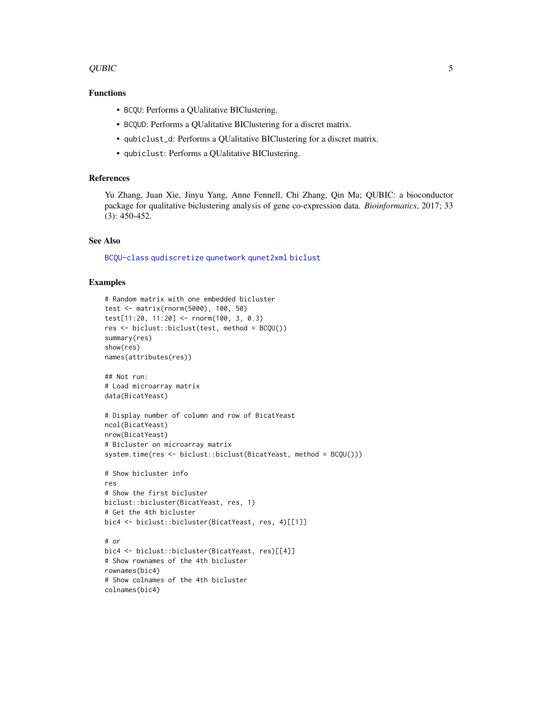#### <span id="page-4-0"></span>QUBIC 5

#### Functions

- BCQU: Performs a QUalitative BIClustering.
- BCQUD: Performs a QUalitative BIClustering for a discret matrix.
- qubiclust\_d: Performs a QUalitative BIClustering for a discret matrix.
- qubiclust: Performs a QUalitative BIClustering.

#### References

Yu Zhang, Juan Xie, Jinyu Yang, Anne Fennell, Chi Zhang, Qin Ma; QUBIC: a bioconductor package for qualitative biclustering analysis of gene co-expression data. *Bioinformatics*, 2017; 33 (3): 450-452.

#### See Also

[BCQU-class](#page-1-2) [qudiscretize](#page-6-1) [qunetwork](#page-9-1) [qunet2xml](#page-8-1) [biclust](#page-0-0)

#### Examples

```
# Random matrix with one embedded bicluster
test <- matrix(rnorm(5000), 100, 50)
test[11:20, 11:20] <- rnorm(100, 3, 0.3)
res <- biclust::biclust(test, method = BCQU())
summary(res)
show(res)
names(attributes(res))
## Not run:
# Load microarray matrix
data(BicatYeast)
# Display number of column and row of BicatYeast
ncol(BicatYeast)
nrow(BicatYeast)
# Bicluster on microarray matrix
system.time(res <- biclust::biclust(BicatYeast, method = BCQU()))
# Show bicluster info
res
# Show the first bicluster
biclust::bicluster(BicatYeast, res, 1)
# Get the 4th bicluster
bic4 <- biclust::bicluster(BicatYeast, res, 4)[[1]]
# or
bic4 <- biclust::bicluster(BicatYeast, res)[[4]]
# Show rownames of the 4th bicluster
rownames(bic4)
# Show colnames of the 4th bicluster
colnames(bic4)
```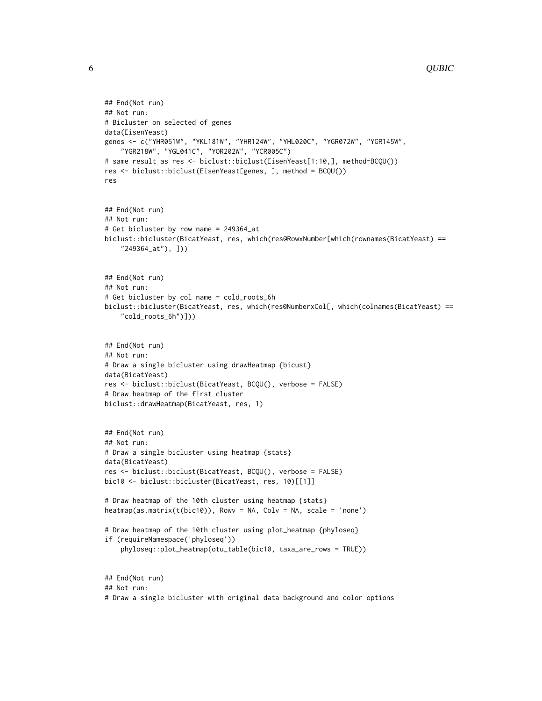```
6 QUBIC QUBIC CONTROL CONTROL CONTROL CONTROL CONTROL CONTROL CONTROL CONTROL CONTROL CONTROL CONTROL CONTROL CONTROL CONTROL CONTROL CONTROL CONTROL CONTROL CONTROL CONTROL CONTROL CONTROL CONTROL CONTROL CONTROL CONTROL
```

```
## End(Not run)
## Not run:
# Bicluster on selected of genes
data(EisenYeast)
genes <- c("YHR051W", "YKL181W", "YHR124W", "YHL020C", "YGR072W", "YGR145W",
    "YGR218W", "YGL041C", "YOR202W", "YCR005C")
# same result as res <- biclust::biclust(EisenYeast[1:10,], method=BCQU())
res <- biclust::biclust(EisenYeast[genes, ], method = BCQU())
res
## End(Not run)
## Not run:
# Get bicluster by row name = 249364_at
biclust::bicluster(BicatYeast, res, which(res@RowxNumber[which(rownames(BicatYeast) ==
    "249364_at"), ]))
## End(Not run)
## Not run:
# Get bicluster by col name = cold_roots_6h
biclust::bicluster(BicatYeast, res, which(res@NumberxCol[, which(colnames(BicatYeast) ==
    "cold_roots_6h")]))
## End(Not run)
## Not run:
# Draw a single bicluster using drawHeatmap {bicust}
data(BicatYeast)
res <- biclust::biclust(BicatYeast, BCQU(), verbose = FALSE)
# Draw heatmap of the first cluster
biclust::drawHeatmap(BicatYeast, res, 1)
## End(Not run)
## Not run:
# Draw a single bicluster using heatmap {stats}
data(BicatYeast)
res <- biclust::biclust(BicatYeast, BCQU(), verbose = FALSE)
bic10 <- biclust::bicluster(BicatYeast, res, 10)[[1]]
# Draw heatmap of the 10th cluster using heatmap {stats}
heatmap(as.matrix(t(bic10)), Rowv = NA, Colv = NA, scale = 'none')
# Draw heatmap of the 10th cluster using plot_heatmap {phyloseq}
if (requireNamespace('phyloseq'))
    phyloseq::plot_heatmap(otu_table(bic10, taxa_are_rows = TRUE))
## End(Not run)
## Not run:
# Draw a single bicluster with original data background and color options
```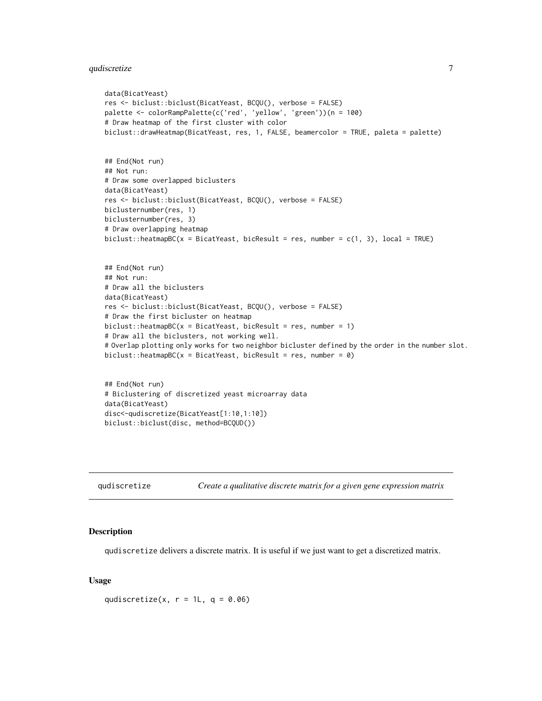```
data(BicatYeast)
res <- biclust::biclust(BicatYeast, BCQU(), verbose = FALSE)
palette <- colorRampPalette(c('red', 'yellow', 'green'))(n = 100)
# Draw heatmap of the first cluster with color
biclust::drawHeatmap(BicatYeast, res, 1, FALSE, beamercolor = TRUE, paleta = palette)
## End(Not run)
## Not run:
# Draw some overlapped biclusters
data(BicatYeast)
res <- biclust::biclust(BicatYeast, BCQU(), verbose = FALSE)
biclusternumber(res, 1)
biclusternumber(res, 3)
# Draw overlapping heatmap
biclust::heatmapBC(x = Bicat Yeast, bicResult = res, number = c(1, 3), local = TRUE)## End(Not run)
## Not run:
# Draw all the biclusters
data(BicatYeast)
res <- biclust::biclust(BicatYeast, BCQU(), verbose = FALSE)
# Draw the first bicluster on heatmap
biclust::heatmapBC(x = Bicat Yeast, bicResult = res, number = 1)# Draw all the biclusters, not working well.
# Overlap plotting only works for two neighbor bicluster defined by the order in the number slot.
biclust::heatmapBC(x = BicatYear, bicResult = res, number = 0)
## End(Not run)
```

```
# Biclustering of discretized yeast microarray data
data(BicatYeast)
disc<-qudiscretize(BicatYeast[1:10,1:10])
biclust::biclust(disc, method=BCQUD())
```
<span id="page-6-1"></span>

| qudiscretize |  | Create a qualitative discrete matrix for a given gene expression matrix |
|--------------|--|-------------------------------------------------------------------------|
|              |  |                                                                         |

#### Description

qudiscretize delivers a discrete matrix. It is useful if we just want to get a discretized matrix.

#### Usage

qudiscretize(x,  $r = 1L$ ,  $q = 0.06$ )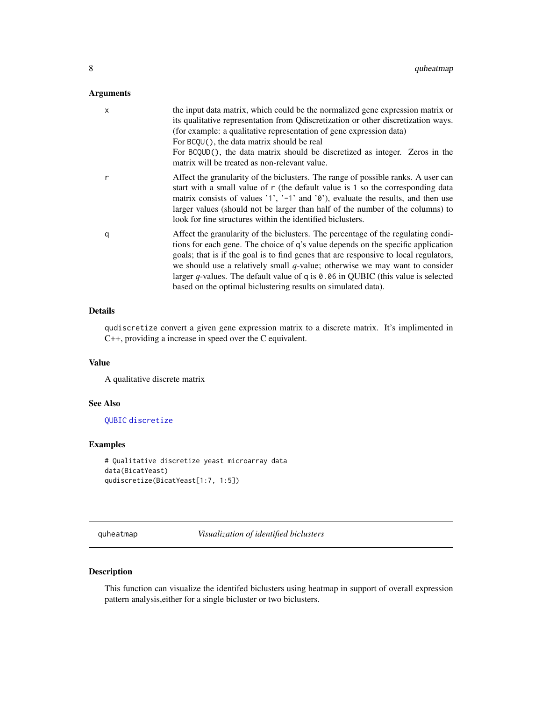#### <span id="page-7-0"></span>Arguments

| X | the input data matrix, which could be the normalized gene expression matrix or<br>its qualitative representation from Q discretization or other discretization ways.<br>(for example: a qualitative representation of gene expression data)<br>For BCQU(), the data matrix should be real<br>For BCQUD(), the data matrix should be discretized as integer. Zeros in the<br>matrix will be treated as non-relevant value.                                                                              |
|---|--------------------------------------------------------------------------------------------------------------------------------------------------------------------------------------------------------------------------------------------------------------------------------------------------------------------------------------------------------------------------------------------------------------------------------------------------------------------------------------------------------|
| r | Affect the granularity of the biclusters. The range of possible ranks. A user can<br>start with a small value of r (the default value is 1 so the corresponding data<br>matrix consists of values '1', '-1' and ' $\delta$ '), evaluate the results, and then use<br>larger values (should not be larger than half of the number of the columns) to<br>look for fine structures within the identified biclusters.                                                                                      |
| q | Affect the granularity of the biclusters. The percentage of the regulating condi-<br>tions for each gene. The choice of q's value depends on the specific application<br>goals; that is if the goal is to find genes that are responsive to local regulators,<br>we should use a relatively small $q$ -value; otherwise we may want to consider<br>larger q-values. The default value of q is $0.06$ in QUBIC (this value is selected<br>based on the optimal biclustering results on simulated data). |

#### Details

qudiscretize convert a given gene expression matrix to a discrete matrix. It's implimented in C++, providing a increase in speed over the C equivalent.

#### Value

A qualitative discrete matrix

#### See Also

[QUBIC](#page-1-3) [discretize](#page-0-0)

#### Examples

```
# Qualitative discretize yeast microarray data
data(BicatYeast)
qudiscretize(BicatYeast[1:7, 1:5])
```
quheatmap *Visualization of identified biclusters*

#### Description

This function can visualize the identifed biclusters using heatmap in support of overall expression pattern analysis,either for a single bicluster or two biclusters.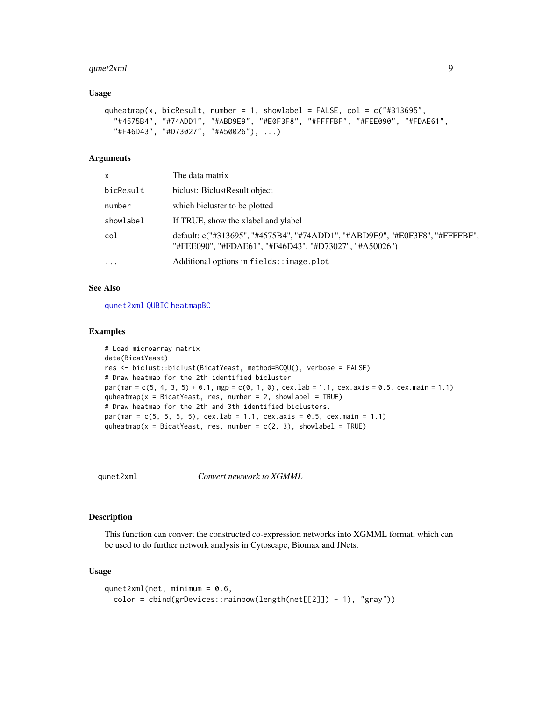#### <span id="page-8-0"></span> $q$ unet $2$ xml  $\overline{9}$

#### Usage

```
quheatmap(x, bicResult, number = 1, showlabel = FALSE, col = c("#313695","#4575B4", "#74ADD1", "#ABD9E9", "#E0F3F8", "#FFFFBF", "#FEE090", "#FDAE61",
  "#F46D43", "#D73027", "#A50026"), ...)
```
#### Arguments

| x         | The data matrix                                                                                                                        |
|-----------|----------------------------------------------------------------------------------------------------------------------------------------|
| bicResult | biclust::BiclustResult object                                                                                                          |
| number    | which bicluster to be plotted                                                                                                          |
| showlabel | If TRUE, show the xlabel and ylabel                                                                                                    |
| col       | default: c("#313695", "#4575B4", "#74ADD1", "#ABD9E9", "#E0F3F8", "#FFFFBF",<br>"#FEE090", "#FDAE61", "#F46D43", "#D73027", "#A50026") |
| .         | Additional options in fields::image.plot                                                                                               |

#### See Also

[qunet2xml](#page-8-1) [QUBIC](#page-1-3) [heatmapBC](#page-0-0)

#### Examples

```
# Load microarray matrix
data(BicatYeast)
res <- biclust::biclust(BicatYeast, method=BCQU(), verbose = FALSE)
# Draw heatmap for the 2th identified bicluster
par(mar = c(5, 4, 3, 5) + 0.1, mgp = c(0, 1, 0), cex.lab = 1.1, cex.axis = 0.5, cex.main = 1.1)
quheatmap(x = Bicat Yeast, res, number = 2, showlabel = TRUE)
# Draw heatmap for the 2th and 3th identified biclusters.
par(max = c(5, 5, 5, 5), cex.lab = 1.1, cex.axis = 0.5, cex.main = 1.1)quheatmap(x = Bicat Yeast, res, number = c(2, 3), showlabel = TRUE)
```
<span id="page-8-1"></span>

qunet2xml *Convert newwork to XGMML*

#### Description

This function can convert the constructed co-expression networks into XGMML format, which can be used to do further network analysis in Cytoscape, Biomax and JNets.

#### Usage

```
qunet2xml(net, minimum = 0.6,
 color = cbind(grDevices::rainbow(length(net[[2]]) - 1), "gray"))
```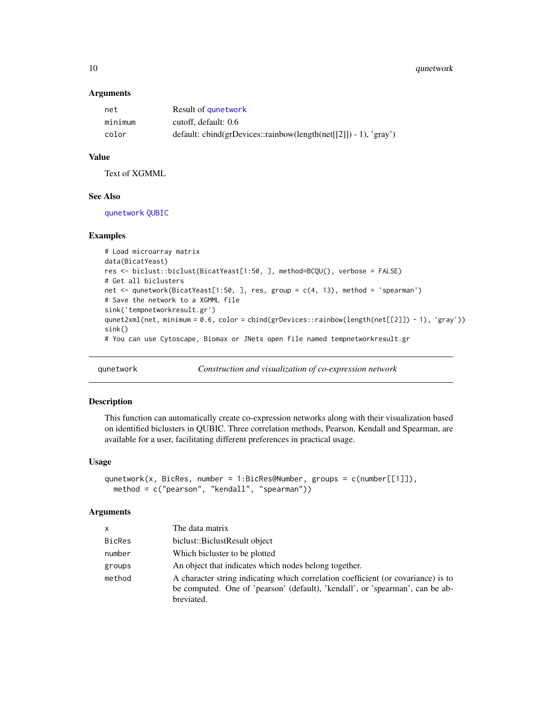#### <span id="page-9-0"></span>10 qunetwork

#### **Arguments**

| net     | Result of qunetwork                                                |
|---------|--------------------------------------------------------------------|
| minimum | cutoff, default: 0.6                                               |
| color   | default: $cbind(grDevices::rainbow(length(net[[2]]) - 1), 'gray')$ |

#### Value

Text of XGMML

#### See Also

[qunetwork](#page-9-1) [QUBIC](#page-1-3)

#### Examples

```
# Load microarray matrix
data(BicatYeast)
res <- biclust::biclust(BicatYeast[1:50, ], method=BCQU(), verbose = FALSE)
# Get all biclusters
net <- qunetwork(BicatYeast[1:50, ], res, group = c(4, 13), method = 'spearman')
# Save the network to a XGMML file
sink('tempnetworkresult.gr')
qunet2xml(net, minimum = 0.6, color = cbind(grDevices::rainbow(length(net[[2]]) - 1), 'gray'))
sink()
# You can use Cytoscape, Biomax or JNets open file named tempnetworkresult.gr
```
<span id="page-9-1"></span>

qunetwork *Construction and visualization of co-expression network*

#### Description

This function can automatically create co-expression networks along with their visualization based on identified biclusters in QUBIC. Three correlation methods, Pearson, Kendall and Spearman, are available for a user, facilitating different preferences in practical usage.

#### Usage

```
qunetwork(x, BicRes, number = 1:BicRes@Number, groups = c(number[[1]]),
 method = c("pearson", "kendall", "spearman"))
```
#### Arguments

| The data matrix                                                                                                                                                                  |
|----------------------------------------------------------------------------------------------------------------------------------------------------------------------------------|
| biclust::BiclustResult object                                                                                                                                                    |
| Which bicluster to be plotted                                                                                                                                                    |
| An object that indicates which nodes belong together.                                                                                                                            |
| A character string indicating which correlation coefficient (or covariance) is to<br>be computed. One of 'pearson' (default), 'kendall', or 'spearman', can be ab-<br>breviated. |
|                                                                                                                                                                                  |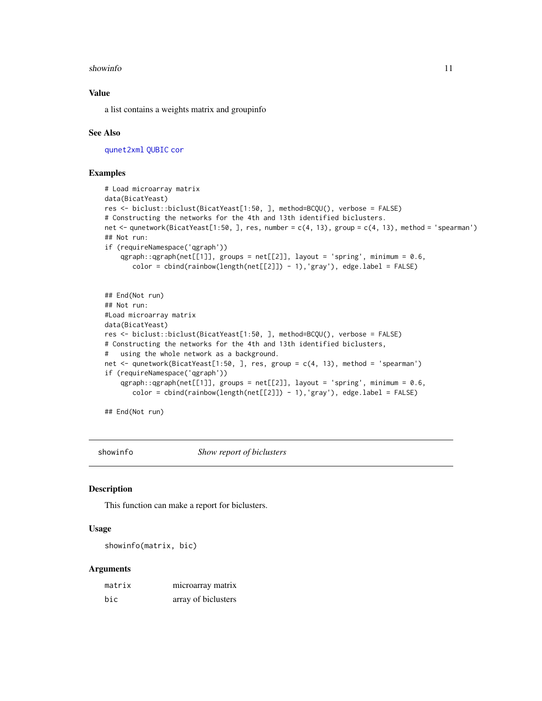#### <span id="page-10-0"></span>showinfo and the state of the state of the state of the state of the state of the state of the state of the state of the state of the state of the state of the state of the state of the state of the state of the state of t

#### Value

a list contains a weights matrix and groupinfo

#### See Also

[qunet2xml](#page-8-1) [QUBIC](#page-1-3) [cor](#page-0-0)

#### Examples

```
# Load microarray matrix
data(BicatYeast)
res <- biclust::biclust(BicatYeast[1:50, ], method=BCQU(), verbose = FALSE)
# Constructing the networks for the 4th and 13th identified biclusters.
net <- qunetwork(BicatYeast[1:50, ], res, number = c(4, 13), group = c(4, 13), method = 'spearman')
## Not run:
if (requireNamespace('qgraph'))
    qgraph::qgraph(net[[1]], groups = net[[2]], layout = 'spring', minimum = 0.6,
       color = cbind(rainbow(length(net[[2]]) - 1),'gray'), edge.label = FALSE)
## End(Not run)
## Not run:
#Load microarray matrix
data(BicatYeast)
res <- biclust::biclust(BicatYeast[1:50, ], method=BCQU(), verbose = FALSE)
# Constructing the networks for the 4th and 13th identified biclusters,
# using the whole network as a background.
net <- qunetwork(BicatYeast[1:50, ], res, group = c(4, 13), method = 'spearman')
if (requireNamespace('qgraph'))
    qgraph::qgraph(net[[1]], groups = net[[2]], layout = 'spring', minimum = 0.6,
       color = cbind(rainbow(length(net[[2]]) - 1),'gray'), edge.label = FALSE)
```
## End(Not run)

showinfo *Show report of biclusters*

#### Description

This function can make a report for biclusters.

#### Usage

```
showinfo(matrix, bic)
```
#### Arguments

| matrix | microarray matrix   |
|--------|---------------------|
| bic    | array of biclusters |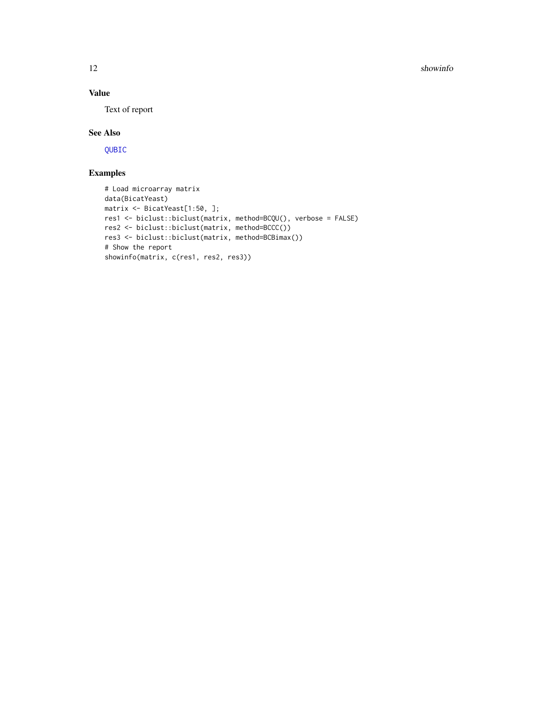<span id="page-11-0"></span>12 showinfor the state of the state of the state of the state of the state of the state of the state of the state of the state of the state of the state of the state of the state of the state of the state of the state of t

#### Value

Text of report

#### See Also

[QUBIC](#page-1-3)

#### Examples

```
# Load microarray matrix
data(BicatYeast)
matrix <- BicatYeast[1:50, ];
res1 <- biclust::biclust(matrix, method=BCQU(), verbose = FALSE)
res2 <- biclust::biclust(matrix, method=BCCC())
res3 <- biclust::biclust(matrix, method=BCBimax())
# Show the report
showinfo(matrix, c(res1, res2, res3))
```